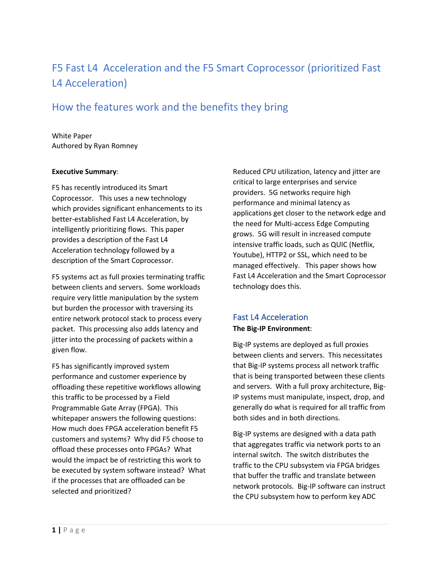# F5 Fast L4 Acceleration and the F5 Smart Coprocessor (prioritized Fast L4 Acceleration)

## How the features work and the benefits they bring

#### White Paper Authored by Ryan Romney

#### **Executive Summary**:

F5 has recently introduced its Smart Coprocessor. This uses a new technology which provides significant enhancements to its better-established Fast L4 Acceleration, by intelligently prioritizing flows. This paper provides a description of the Fast L4 Acceleration technology followed by a description of the Smart Coprocessor.

F5 systems act as full proxies terminating traffic between clients and servers. Some workloads require very little manipulation by the system but burden the processor with traversing its entire network protocol stack to process every packet. This processing also adds latency and jitter into the processing of packets within a given flow.

F5 has significantly improved system performance and customer experience by offloading these repetitive workflows allowing this traffic to be processed by a Field Programmable Gate Array (FPGA). This whitepaper answers the following questions: How much does FPGA acceleration benefit F5 customers and systems? Why did F5 choose to offload these processes onto FPGAs? What would the impact be of restricting this work to be executed by system software instead? What if the processes that are offloaded can be selected and prioritized?

Reduced CPU utilization, latency and jitter are critical to large enterprises and service providers. 5G networks require high performance and minimal latency as applications get closer to the network edge and the need for Multi-access Edge Computing grows. 5G will result in increased compute intensive traffic loads, such as QUIC (Netflix, Youtube), HTTP2 or SSL, which need to be managed effectively. This paper shows how Fast L4 Acceleration and the Smart Coprocessor technology does this.

## Fast L4 Acceleration

### **The Big-IP Environment**:

Big-IP systems are deployed as full proxies between clients and servers. This necessitates that Big-IP systems process all network traffic that is being transported between these clients and servers. With a full proxy architecture, Big-IP systems must manipulate, inspect, drop, and generally do what is required for all traffic from both sides and in both directions.

Big-IP systems are designed with a data path that aggregates traffic via network ports to an internal switch. The switch distributes the traffic to the CPU subsystem via FPGA bridges that buffer the traffic and translate between network protocols. Big-IP software can instruct the CPU subsystem how to perform key ADC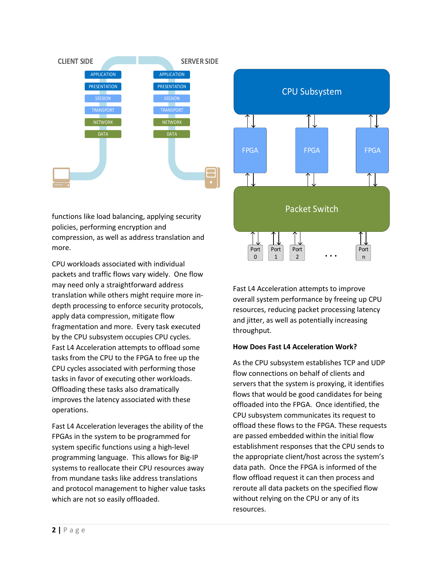

functions like load balancing, applying security policies, performing encryption and compression, as well as address translation and more.

CPU workloads associated with individual packets and traffic flows vary widely. One flow may need only a straightforward address translation while others might require more indepth processing to enforce security protocols, apply data compression, mitigate flow fragmentation and more. Every task executed by the CPU subsystem occupies CPU cycles. Fast L4 Acceleration attempts to offload some tasks from the CPU to the FPGA to free up the CPU cycles associated with performing those tasks in favor of executing other workloads. Offloading these tasks also dramatically improves the latency associated with these operations.

Fast L4 Acceleration leverages the ability of the FPGAs in the system to be programmed for system specific functions using a high-level programming language. This allows for Big-IP systems to reallocate their CPU resources away from mundane tasks like address translations and protocol management to higher value tasks which are not so easily offloaded.



Fast L4 Acceleration attempts to improve overall system performance by freeing up CPU resources, reducing packet processing latency and jitter, as well as potentially increasing throughput.

### **How Does Fast L4 Acceleration Work?**

As the CPU subsystem establishes TCP and UDP flow connections on behalf of clients and servers that the system is proxying, it identifies flows that would be good candidates for being offloaded into the FPGA. Once identified, the CPU subsystem communicates its request to offload these flows to the FPGA. These requests are passed embedded within the initial flow establishment responses that the CPU sends to the appropriate client/host across the system's data path. Once the FPGA is informed of the flow offload request it can then process and reroute all data packets on the specified flow without relying on the CPU or any of its resources.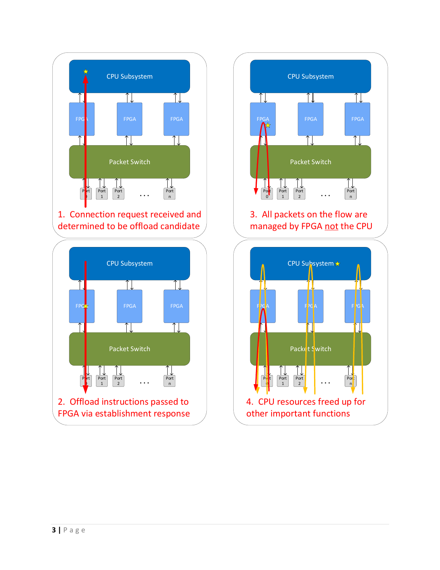

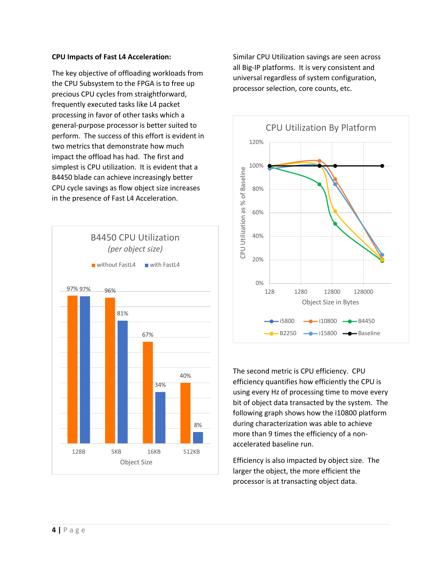#### **CPU Impacts of Fast L4 Acceleration:**

The key objective of offloading workloads from the CPU Subsystem to the FPGA is to free up precious CPU cycles from straightforward, frequently executed tasks like L4 packet processing in favor of other tasks which a general-purpose processor is better suited to perform. The success of this effort is evident in two metrics that demonstrate how much impact the offload has had. The first and simplest is CPU utilization. It is evident that a B4450 blade can achieve increasingly better CPU cycle savings as flow object size increases in the presence of Fast L4 Acceleration.



Similar CPU Utilization savings are seen across all Big-IP platforms. It is very consistent and universal regardless of system configuration, processor selection, core counts, etc.



The second metric is CPU efficiency. CPU efficiency quantifies how efficiently the CPU is using every Hz of processing time to move every bit of object data transacted by the system. The following graph shows how the i10800 platform during characterization was able to achieve more than 9 times the efficiency of a nonaccelerated baseline run.

Efficiency is also impacted by object size. The larger the object, the more efficient the processor is at transacting object data.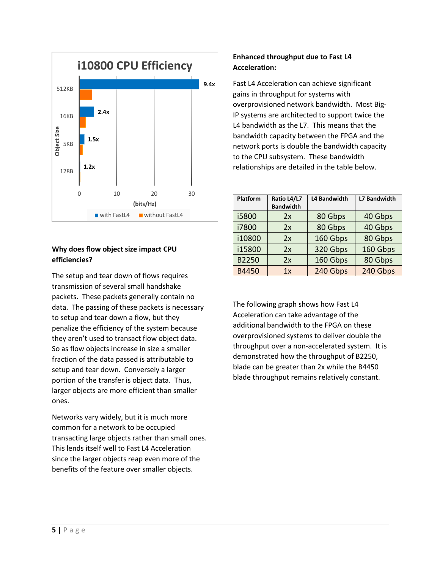

## **Why does flow object size impact CPU efficiencies?**

The setup and tear down of flows requires transmission of several small handshake packets. These packets generally contain no data. The passing of these packets is necessary to setup and tear down a flow, but they penalize the efficiency of the system because they aren't used to transact flow object data. So as flow objects increase in size a smaller fraction of the data passed is attributable to setup and tear down. Conversely a larger portion of the transfer is object data. Thus, larger objects are more efficient than smaller ones.

Networks vary widely, but it is much more common for a network to be occupied transacting large objects rather than small ones. This lends itself well to Fast L4 Acceleration since the larger objects reap even more of the benefits of the feature over smaller objects.

## **Enhanced throughput due to Fast L4 Acceleration:**

Fast L4 Acceleration can achieve significant gains in throughput for systems with overprovisioned network bandwidth. Most Big-IP systems are architected to support twice the L4 bandwidth as the L7. This means that the bandwidth capacity between the FPGA and the network ports is double the bandwidth capacity to the CPU subsystem. These bandwidth relationships are detailed in the table below.

| Platform | Ratio L4/L7<br><b>Bandwidth</b> | L4 Bandwidth | <b>L7 Bandwidth</b> |
|----------|---------------------------------|--------------|---------------------|
| i5800    | 2x                              | 80 Gbps      | 40 Gbps             |
| i7800    | 2x                              | 80 Gbps      | 40 Gbps             |
| i10800   | 2x                              | 160 Gbps     | 80 Gbps             |
| i15800   | 2x                              | 320 Gbps     | 160 Gbps            |
| B2250    | 2x                              | 160 Gbps     | 80 Gbps             |
| B4450    | 1x                              | 240 Gbps     | 240 Gbps            |

The following graph shows how Fast L4 Acceleration can take advantage of the additional bandwidth to the FPGA on these overprovisioned systems to deliver double the throughput over a non-accelerated system. It is demonstrated how the throughput of B2250, blade can be greater than 2x while the B4450 blade throughput remains relatively constant.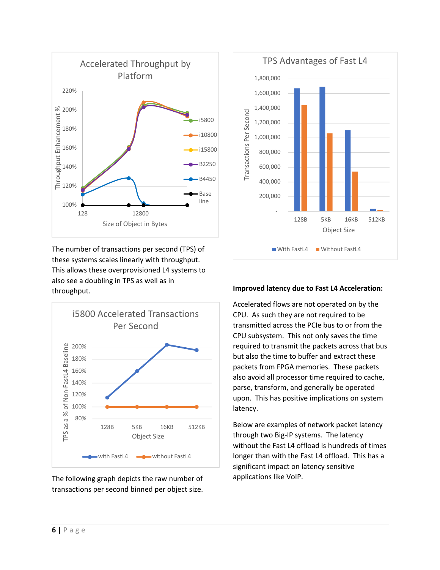

The number of transactions per second (TPS) of these systems scales linearly with throughput. This allows these overprovisioned L4 systems to also see a doubling in TPS as well as in throughput.



The following graph depicts the raw number of transactions per second binned per object size.



#### **Improved latency due to Fast L4 Acceleration:**

Accelerated flows are not operated on by the CPU. As such they are not required to be transmitted across the PCIe bus to or from the CPU subsystem. This not only saves the time required to transmit the packets across that bus but also the time to buffer and extract these packets from FPGA memories. These packets also avoid all processor time required to cache, parse, transform, and generally be operated upon. This has positive implications on system latency.

Below are examples of network packet latency through two Big-IP systems. The latency without the Fast L4 offload is hundreds of times longer than with the Fast L4 offload. This has a significant impact on latency sensitive applications like VoIP.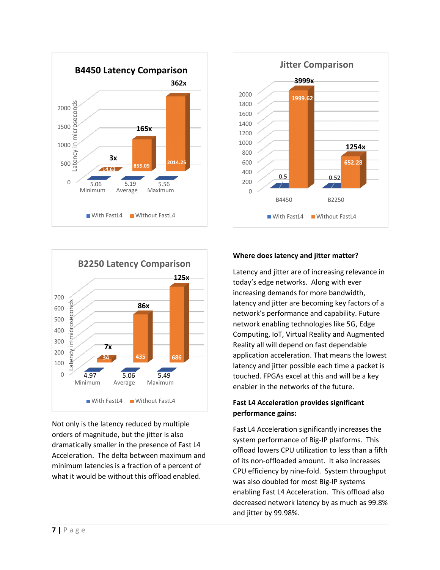



Not only is the latency reduced by multiple orders of magnitude, but the jitter is also dramatically smaller in the presence of Fast L4 Acceleration. The delta between maximum and minimum latencies is a fraction of a percent of what it would be without this offload enabled.



**Jitter Comparison**

**3999x**

#### **Where does latency and jitter matter?**

Latency and jitter are of increasing relevance in today's edge networks. Along with ever increasing demands for more bandwidth, latency and jitter are becoming key factors of a network's performance and capability. Future network enabling technologies like 5G, Edge Computing, IoT, Virtual Reality and Augmented Reality all will depend on fast dependable application acceleration. That means the lowest latency and jitter possible each time a packet is touched. FPGAs excel at this and will be a key enabler in the networks of the future.

#### **Fast L4 Acceleration provides significant performance gains:**

Fast L4 Acceleration significantly increases the system performance of Big-IP platforms. This offload lowers CPU utilization to less than a fifth of its non-offloaded amount. It also increases CPU efficiency by nine-fold. System throughput was also doubled for most Big-IP systems enabling Fast L4 Acceleration. This offload also decreased network latency by as much as 99.8% and jitter by 99.98%.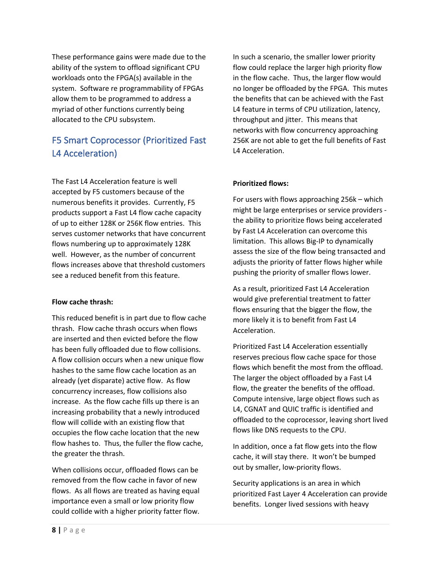These performance gains were made due to the ability of the system to offload significant CPU workloads onto the FPGA(s) available in the system. Software re programmability of FPGAs allow them to be programmed to address a myriad of other functions currently being allocated to the CPU subsystem.

## F5 Smart Coprocessor (Prioritized Fast L4 Acceleration)

The Fast L4 Acceleration feature is well accepted by F5 customers because of the numerous benefits it provides. Currently, F5 products support a Fast L4 flow cache capacity of up to either 128K or 256K flow entries. This serves customer networks that have concurrent flows numbering up to approximately 128K well. However, as the number of concurrent flows increases above that threshold customers see a reduced benefit from this feature.

#### **Flow cache thrash:**

This reduced benefit is in part due to flow cache thrash. Flow cache thrash occurs when flows are inserted and then evicted before the flow has been fully offloaded due to flow collisions. A flow collision occurs when a new unique flow hashes to the same flow cache location as an already (yet disparate) active flow. As flow concurrency increases, flow collisions also increase. As the flow cache fills up there is an increasing probability that a newly introduced flow will collide with an existing flow that occupies the flow cache location that the new flow hashes to. Thus, the fuller the flow cache, the greater the thrash.

When collisions occur, offloaded flows can be removed from the flow cache in favor of new flows. As all flows are treated as having equal importance even a small or low priority flow could collide with a higher priority fatter flow.

In such a scenario, the smaller lower priority flow could replace the larger high priority flow in the flow cache. Thus, the larger flow would no longer be offloaded by the FPGA. This mutes the benefits that can be achieved with the Fast L4 feature in terms of CPU utilization, latency, throughput and jitter. This means that networks with flow concurrency approaching 256K are not able to get the full benefits of Fast L4 Acceleration.

### **Prioritized flows:**

For users with flows approaching 256k – which might be large enterprises or service providers the ability to prioritize flows being accelerated by Fast L4 Acceleration can overcome this limitation. This allows Big-IP to dynamically assess the size of the flow being transacted and adjusts the priority of fatter flows higher while pushing the priority of smaller flows lower.

As a result, prioritized Fast L4 Acceleration would give preferential treatment to fatter flows ensuring that the bigger the flow, the more likely it is to benefit from Fast L4 Acceleration.

Prioritized Fast L4 Acceleration essentially reserves precious flow cache space for those flows which benefit the most from the offload. The larger the object offloaded by a Fast L4 flow, the greater the benefits of the offload. Compute intensive, large object flows such as L4, CGNAT and QUIC traffic is identified and offloaded to the coprocessor, leaving short lived flows like DNS requests to the CPU.

In addition, once a fat flow gets into the flow cache, it will stay there. It won't be bumped out by smaller, low-priority flows.

Security applications is an area in which prioritized Fast Layer 4 Acceleration can provide benefits. Longer lived sessions with heavy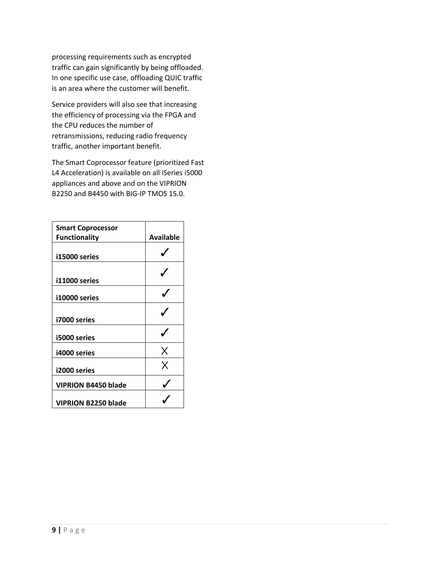processing requirements such as encrypted traffic can gain significantly by being offloaded. In one specific use case, offloading QUIC traffic is an area where the customer will benefit.

Service providers will also see that increasing the efficiency of processing via the FPGA and the CPU reduces the number of retransmissions, reducing radio frequency traffic, another important benefit.

The Smart Coprocessor feature (prioritized Fast L4 Acceleration) is available on all iSeries i5000 appliances and above and on the VIPRION B2250 and B4450 with BIG-IP TMOS 15.0.

| <b>Smart Coprocessor</b>   |                  |
|----------------------------|------------------|
| <b>Functionality</b>       | <b>Available</b> |
| i15000 series              |                  |
| i11000 series              |                  |
| i10000 series              |                  |
| i7000 series               |                  |
| i5000 series               |                  |
| i4000 series               | Χ                |
| i2000 series               | Χ                |
| <b>VIPRION B4450 blade</b> |                  |
| <b>VIPRION B2250 blade</b> |                  |